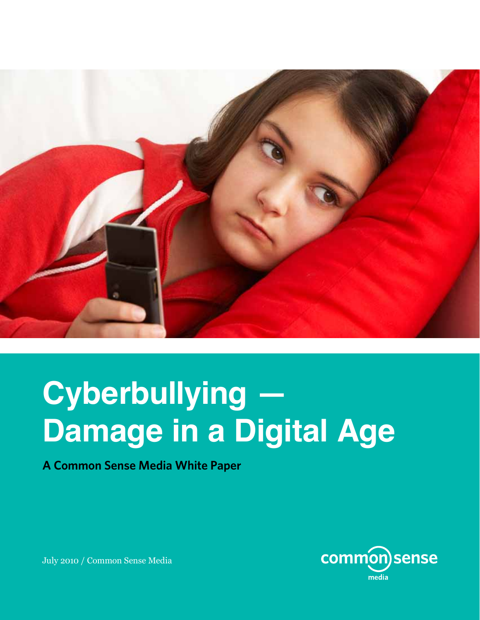

## **Cyberbullying — Damage in a Digital Age**

**A Common Sense Media White Paper**



July 2010 / Common Sense Media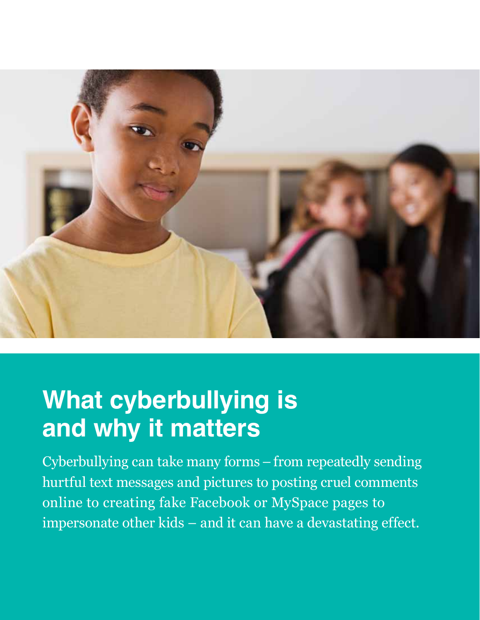

## **What cyberbullying is and why it matters**

Cyberbullying can take many forms – from repeatedly sending hurtful text messages and pictures to posting cruel comments online to creating fake Facebook or MySpace pages to impersonate other kids – and it can have a devastating effect.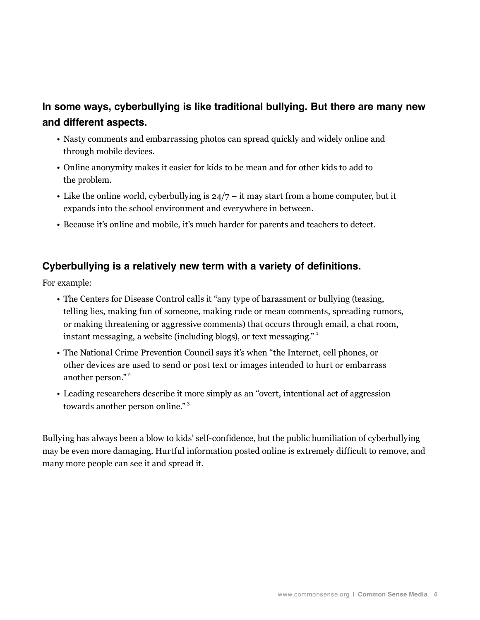### **In some ways, cyberbullying is like traditional bullying. But there are many new and different aspects.**

- • Nasty comments and embarrassing photos can spread quickly and widely online and through mobile devices.
- • Online anonymity makes it easier for kids to be mean and for other kids to add to the problem.
- Like the online world, cyberbullying is  $24/7 it$  may start from a home computer, but it expands into the school environment and everywhere in between.
- • Because it's online and mobile, it's much harder for parents and teachers to detect.

#### **Cyberbullying is a relatively new term with a variety of definitions.**

For example:

- The Centers for Disease Control calls it "any type of harassment or bullying (teasing, telling lies, making fun of someone, making rude or mean comments, spreading rumors, or making threatening or aggressive comments) that occurs through email, a chat room, instant messaging, a website (including blogs), or text messaging."<sup>1</sup>
- The National Crime Prevention Council says it's when "the Internet, cell phones, or other devices are used to send or post text or images intended to hurt or embarrass another person."<sup>2</sup>
- Leading researchers describe it more simply as an "overt, intentional act of aggression towards another person online." <sup>3</sup>

Bullying has always been a blow to kids' self-confidence, but the public humiliation of cyberbullying may be even more damaging. Hurtful information posted online is extremely difficult to remove, and many more people can see it and spread it.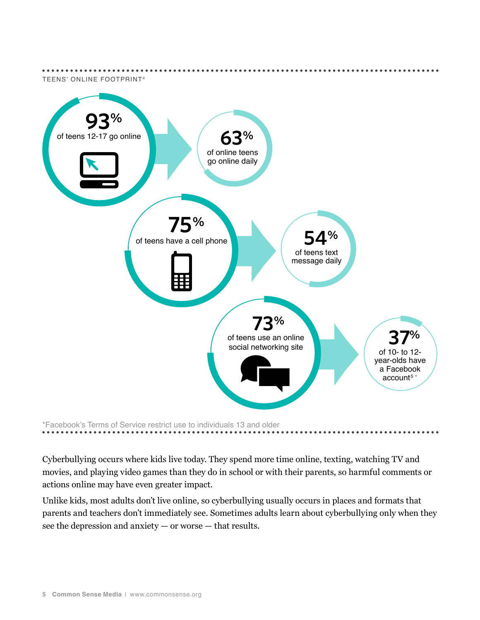

Cyberbullying occurs where kids live today. They spend more time online, texting, watching TV and movies, and playing video games than they do in school or with their parents, so harmful comments or actions online may have even greater impact.

Unlike kids, most adults don't live online, so cyberbullying usually occurs in places and formats that parents and teachers don't immediately see. Sometimes adults learn about cyberbullying only when they see the depression and anxiety — or worse — that results.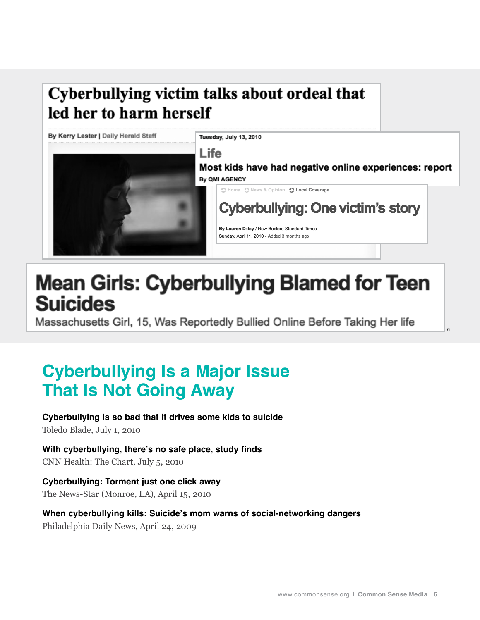### Cyberbullying victim talks about ordeal that led her to harm herself



## **Mean Girls: Cyberbullying Blamed for Teen Suicides**

Massachusetts Girl, 15, Was Reportedly Bullied Online Before Taking Her life

### **Cyberbullying Is a Major Issue That Is Not Going Away**

**Cyberbullying is so bad that it drives some kids to suicide** Toledo Blade, July 1, 2010

**With cyberbullying, there's no safe place, study finds** CNN Health: The Chart, July 5, 2010

**Cyberbullying: Torment just one click away** The News-Star (Monroe, LA), April 15, 2010

**When cyberbullying kills: Suicide's mom warns of social-networking dangers** Philadelphia Daily News, April 24, 2009

6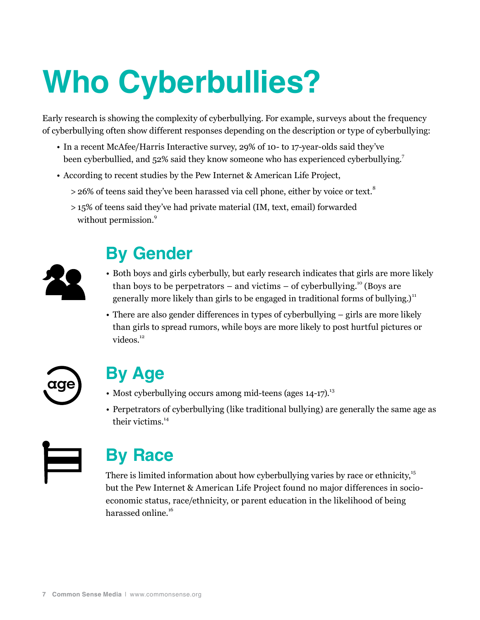# **Who Cyberbullies?**

Early research is showing the complexity of cyberbullying. For example, surveys about the frequency of cyberbullying often show different responses depending on the description or type of cyberbullying:

- In a recent McAfee/Harris Interactive survey, 29% of 10- to 17-year-olds said they've been cyberbullied, and 52% said they know someone who has experienced cyberbullying.<sup>7</sup>
- • According to recent studies by the Pew Internet & American Life Project,
	- $>$  26% of teens said they've been harassed via cell phone, either by voice or text.<sup>8</sup>
	- > 15% of teens said they've had private material (IM, text, email) forwarded without permission.<sup>9</sup>



### **By Gender**

- • Both boys and girls cyberbully, but early research indicates that girls are more likely than boys to be perpetrators – and victims – of cyberbullying.<sup>10</sup> (Boys are generally more likely than girls to be engaged in traditional forms of bullying.)<sup>11</sup>
- There are also gender differences in types of cyberbullying girls are more likely than girls to spread rumors, while boys are more likely to post hurtful pictures or videos.<sup>12</sup>



### **By Age**

- Most cyberbullying occurs among mid-teens (ages  $14$ -17).<sup>13</sup>
- Perpetrators of cyberbullying (like traditional bullying) are generally the same age as their victims.<sup>14</sup>



### **By Race**

There is limited information about how cyberbullying varies by race or ethnicity, $15$ but the Pew Internet & American Life Project found no major differences in socioeconomic status, race/ethnicity, or parent education in the likelihood of being harassed online.<sup>16</sup>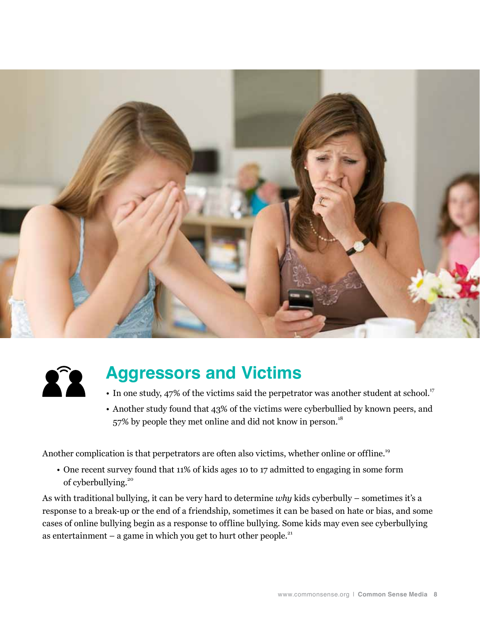



### **Aggressors and Victims**

- In one study, 47% of the victims said the perpetrator was another student at school.<sup>17</sup>
- • Another study found that 43% of the victims were cyberbullied by known peers, and 57% by people they met online and did not know in person.<sup>18</sup>

Another complication is that perpetrators are often also victims, whether online or offline.<sup>19</sup>

• One recent survey found that 11% of kids ages 10 to 17 admitted to engaging in some form of cyberbullying.<sup>20</sup>

As with traditional bullying, it can be very hard to determine *why* kids cyberbully – sometimes it's a response to a break-up or the end of a friendship, sometimes it can be based on hate or bias, and some cases of online bullying begin as a response to offline bullying. Some kids may even see cyberbullying as entertainment – a game in which you get to hurt other people. $21$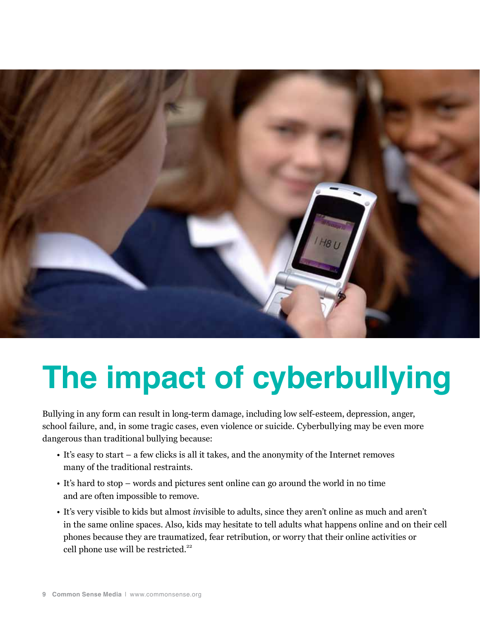

## **The impact of cyberbullying**

Bullying in any form can result in long-term damage, including low self-esteem, depression, anger, school failure, and, in some tragic cases, even violence or suicide. Cyberbullying may be even more dangerous than traditional bullying because:

- It's easy to start a few clicks is all it takes, and the anonymity of the Internet removes many of the traditional restraints.
- • It's hard to stop words and pictures sent online can go around the world in no time and are often impossible to remove.
- • It's very visible to kids but almost *in*visible to adults, since they aren't online as much and aren't in the same online spaces. Also, kids may hesitate to tell adults what happens online and on their cell phones because they are traumatized, fear retribution, or worry that their online activities or cell phone use will be restricted.<sup>22</sup>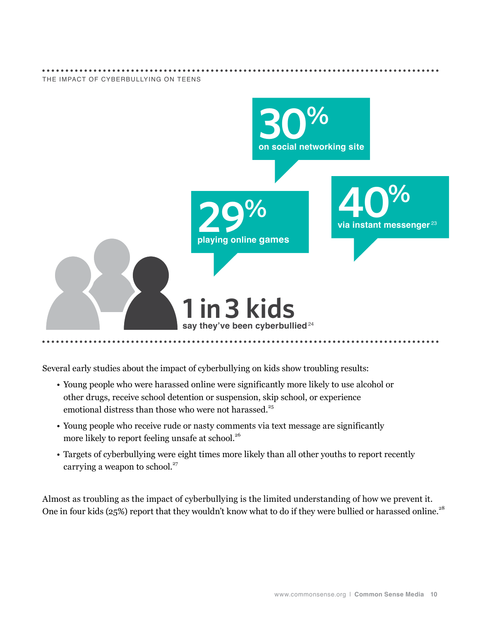

Several early studies about the impact of cyberbullying on kids show troubling results:

- • Young people who were harassed online were significantly more likely to use alcohol or other drugs, receive school detention or suspension, skip school, or experience emotional distress than those who were not harassed.<sup>25</sup>
- • Young people who receive rude or nasty comments via text message are significantly more likely to report feeling unsafe at school.<sup>26</sup>
- • Targets of cyberbullying were eight times more likely than all other youths to report recently carrying a weapon to school. $27$

Almost as troubling as the impact of cyberbullying is the limited understanding of how we prevent it. One in four kids (25%) report that they wouldn't know what to do if they were bullied or harassed online.<sup>28</sup>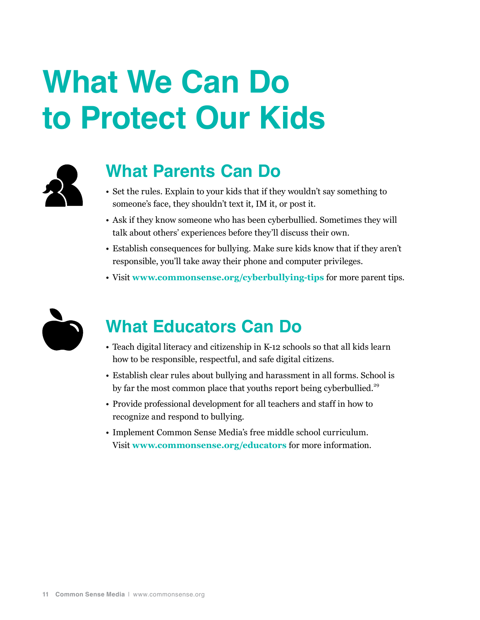## **What We Can Do to Protect Our Kids**



### **What Parents Can Do**

- Set the rules. Explain to your kids that if they wouldn't say something to someone's face, they shouldn't text it, IM it, or post it.
- Ask if they know someone who has been cyberbullied. Sometimes they will talk about others' experiences before they'll discuss their own.
- • Establish consequences for bullying. Make sure kids know that if they aren't responsible, you'll take away their phone and computer privileges.
- • Visit **www.commonsense.org/cyberbullying-tips** for more parent tips.



### **What Educators Can Do**

- Teach digital literacy and citizenship in K-12 schools so that all kids learn how to be responsible, respectful, and safe digital citizens.
- Establish clear rules about bullying and harassment in all forms. School is by far the most common place that youths report being cyberbullied.<sup>29</sup>
- • Provide professional development for all teachers and staff in how to recognize and respond to bullying.
- • Implement Common Sense Media's free middle school curriculum. Visit **www.commonsense.org/educators** for more information.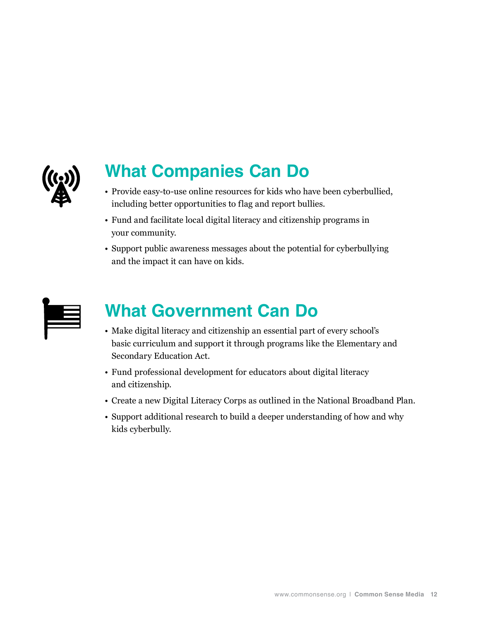

### **What Companies Can Do**

- Provide easy-to-use online resources for kids who have been cyberbullied, including better opportunities to flag and report bullies.
- • Fund and facilitate local digital literacy and citizenship programs in your community.
- Support public awareness messages about the potential for cyberbullying and the impact it can have on kids.

### **What Government Can Do**

- • Make digital literacy and citizenship an essential part of every school's basic curriculum and support it through programs like the Elementary and Secondary Education Act.
- Fund professional development for educators about digital literacy and citizenship.
- • Create a new Digital Literacy Corps as outlined in the National Broadband Plan.
- Support additional research to build a deeper understanding of how and why kids cyberbully.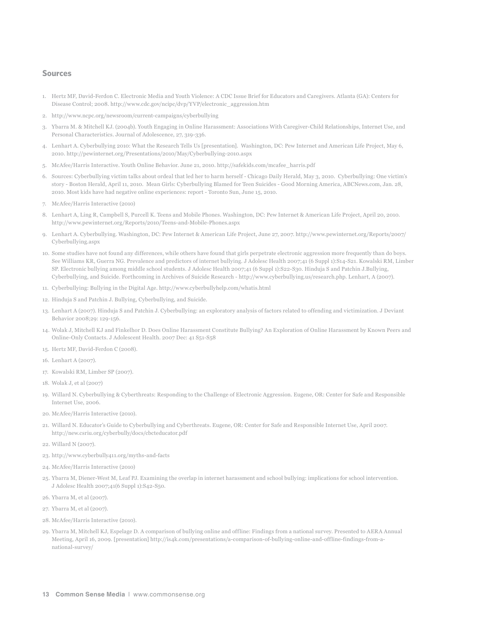#### **Sources**

- 1. Hertz MF, David-Ferdon C. Electronic Media and Youth Violence: A CDC Issue Brief for Educators and Caregivers. Atlanta (GA): Centers for Disease Control; 2008. http://www.cdc.gov/ncipc/dvp/YVP/electronic\_aggression.htm
- 2. http://www.ncpc.org/newsroom/current-campaigns/cyberbullying
- 3. Ybarra M. & Mitchell KJ. (2004b). Youth Engaging in Online Harassment: Associations With Caregiver-Child Relationships, Internet Use, and Personal Characteristics. Journal of Adolescence, 27, 319-336.
- 4. Lenhart A. Cyberbullying 2010: What the Research Tells Us [presentation]. Washington, DC: Pew Internet and American Life Project, May 6, 2010. http://pewinternet.org/Presentations/2010/May/Cyberbullying-2010.aspx
- 5. McAfee/Harris Interactive. Youth Online Behavior. June 21, 2010. http://safekids.com/mcafee\_harris.pdf
- 6. Sources: Cyberbullying victim talks about ordeal that led her to harm herself Chicago Daily Herald, May 3, 2010. Cyberbullying: One victim's story - Boston Herald, April 11, 2010. Mean Girls: Cyberbullying Blamed for Teen Suicides - Good Morning America, ABCNews.com, Jan. 28, 2010. Most kids have had negative online experiences: report - Toronto Sun, June 15, 2010.
- 7. McAfee/Harris Interactive (2010)
- 8. Lenhart A, Ling R, Campbell S, Purcell K. Teens and Mobile Phones. Washington, DC: Pew Internet & American Life Project, April 20, 2010. http://www.pewinternet.org/Reports/2010/Teens-and-Mobile-Phones.aspx
- 9. Lenhart A. Cyberbullying. Washington, DC: Pew Internet & American Life Project, June 27, 2007. http://www.pewinternet.org/Reports/2007/ Cyberbullying.aspx
- 10. Some studies have not found any differences, while others have found that girls perpetrate electronic aggression more frequently than do boys. See Williams KR, Guerra NG. Prevalence and predictors of internet bullying. J Adolesc Health 2007;41 (6 Suppl 1):S14-S21. Kowalski RM, Limber SP. Electronic bullying among middle school students. J Adolesc Health 2007;41 (6 Suppl 1):S22-S30. Hinduja S and Patchin J.Bullying, Cyberbullying, and Suicide. Forthcoming in Archives of Suicide Research - http://www.cyberbullying.us/research.php. Lenhart, A (2007).
- 11. Cyberbullying: Bullying in the Digital Age. http://www.cyberbullyhelp.com/whatis.html
- 12. Hinduja S and Patchin J. Bullying, Cyberbullying, and Suicide.
- 13. Lenhart A (2007). Hinduja S and Patchin J. Cyberbullying: an exploratory analysis of factors related to offending and victimization. J Deviant Behavior 2008;29: 129-156.
- 14. Wolak J, Mitchell KJ and Finkelhor D. Does Online Harassment Constitute Bullying? An Exploration of Online Harassment by Known Peers and Online-Only Contacts. J Adolescent Health. 2007 Dec: 41 S51-S58
- 15. Hertz MF, David-Ferdon C (2008).
- 16. Lenhart A (2007).
- 17. Kowalski RM, Limber SP (2007).
- 18. Wolak J, et al (2007)
- 19. Willard N. Cyberbullying & Cyberthreats: Responding to the Challenge of Electronic Aggression. Eugene, OR: Center for Safe and Responsible Internet Use, 2006.
- 20. McAfee/Harris Interactive (2010).
- 21. Willard N. Educator's Guide to Cyberbullying and Cyberthreats. Eugene, OR: Center for Safe and Responsible Internet Use, April 2007. http://new.csriu.org/cyberbully/docs/cbcteducator.pdf
- 22. Willard N (2007).
- 23. http://www.cyberbully411.org/myths-and-facts
- 24. McAfee/Harris Interactive (2010)
- 25. Ybarra M, Diener-West M, Leaf PJ. Examining the overlap in internet harassment and school bullying: implications for school intervention. J Adolesc Health 2007;41(6 Suppl 1):S42-S50.
- 26. Ybarra M, et al (2007).
- 27. Ybarra M, et al (2007).
- 28. McAfee/Harris Interactive (2010).
- 29. Ybarra M, Mitchell KJ, Espelage D. A comparison of bullying online and offline: Findings from a national survey. Presented to AERA Annual Meeting, April 16, 2009. [presentation] http://is4k.com/presentations/a-comparison-of-bullying-online-and-offline-findings-from-anational-survey/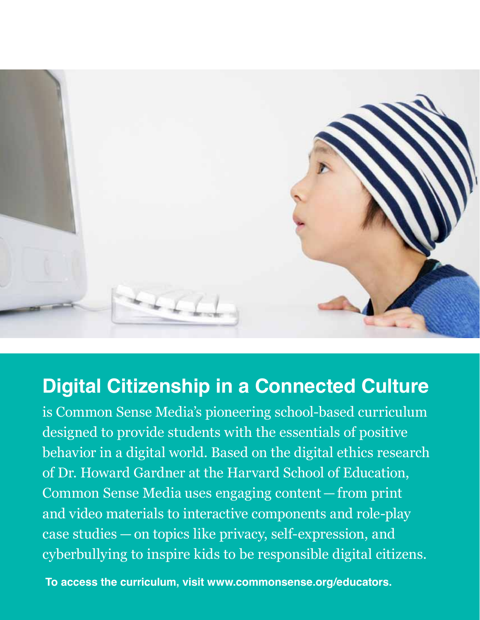

### **Digital Citizenship in a Connected Culture**

is Common Sense Media's pioneering school-based curriculum designed to provide students with the essentials of positive behavior in a digital world. Based on the digital ethics research of Dr. Howard Gardner at the Harvard School of Education, Common Sense Media uses engaging content — from print and video materials to interactive components and role-play case studies — on topics like privacy, self-expression, and cyberbullying to inspire kids to be responsible digital citizens.

 **To access the curriculum, visit www.commonsense.org/educators.**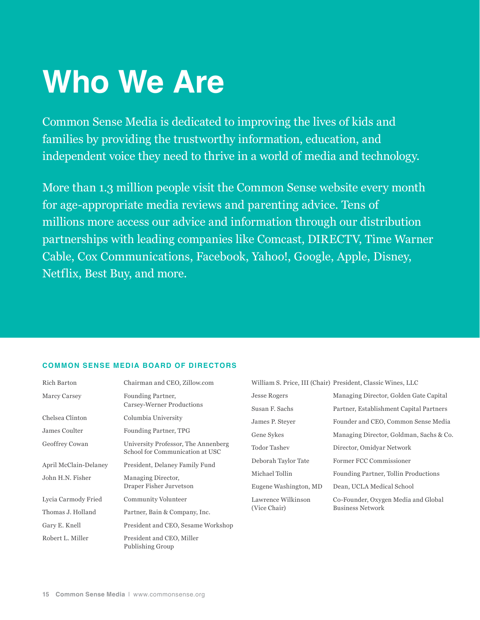## **Who We Are**

Common Sense Media is dedicated to improving the lives of kids and families by providing the trustworthy information, education, and independent voice they need to thrive in a world of media and technology.

More than 1.3 million people visit the Common Sense website every month for age-appropriate media reviews and parenting advice. Tens of millions more access our advice and information through our distribution partnerships with leading companies like Comcast, DIRECTV, Time Warner Cable, Cox Communications, Facebook, Yahoo!, Google, Apple, Disney, Netflix, Best Buy, and more.

#### **Common Sense Media Board of Directors**

| Rich Barton           | Chairman and CEO, Zillow.com                                           |                       | William S. Price, III (Chair) President, Classic Wines, LLC    |
|-----------------------|------------------------------------------------------------------------|-----------------------|----------------------------------------------------------------|
| Marcy Carsey          | Founding Partner,                                                      | <b>Jesse Rogers</b>   | Managing Director, Golden Gate Capital                         |
|                       | Carsey-Werner Productions                                              | Susan F. Sachs        | Partner, Establishment Capital Partners                        |
| Chelsea Clinton       | Columbia University                                                    | James P. Stever       | Founder and CEO, Common Sense Media                            |
| James Coulter         | Founding Partner, TPG                                                  | Gene Sykes            | Managing Director, Goldman, Sachs & Co.                        |
| Geoffrey Cowan        | University Professor, The Annenberg<br>School for Communication at USC | <b>Todor Tashev</b>   | Director, Omidyar Network                                      |
| April McClain-Delaney | President, Delaney Family Fund                                         | Deborah Taylor Tate   | Former FCC Commissioner                                        |
| John H.N. Fisher      | Managing Director,<br>Draper Fisher Jurvetson                          | Michael Tollin        | Founding Partner, Tollin Productions                           |
|                       |                                                                        | Eugene Washington, MD | Dean, UCLA Medical School                                      |
| Lycia Carmody Fried   | Community Volunteer                                                    | Lawrence Wilkinson    | Co-Founder, Oxygen Media and Global<br><b>Business Network</b> |
| Thomas J. Holland     | Partner, Bain & Company, Inc.                                          | (Vice Chair)          |                                                                |
| Gary E. Knell         | President and CEO, Sesame Workshop                                     |                       |                                                                |
| Robert L. Miller      | President and CEO, Miller<br>Publishing Group                          |                       |                                                                |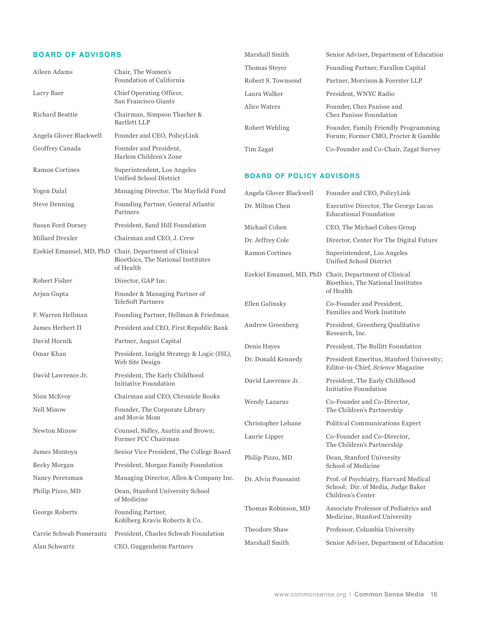#### **board of Advisors**

| <b>BOARD OF ADVISORS</b> |                                                                                              | Marshall Smith                     | Senior Adviser, Department of Education                                                                                                                                                                   |
|--------------------------|----------------------------------------------------------------------------------------------|------------------------------------|-----------------------------------------------------------------------------------------------------------------------------------------------------------------------------------------------------------|
| Aileen Adams             | Chair, The Women's                                                                           | Thomas Steyer                      | Founding Partner, Farallon Capital                                                                                                                                                                        |
|                          | Foundation of California                                                                     | Robert S. Townsend                 | Partner, Morrison & Foerster LLP                                                                                                                                                                          |
| Larry Baer               | Chief Operating Officer,                                                                     | Laura Walker                       | President, WNYC Radio                                                                                                                                                                                     |
| Richard Beattie          | San Francisco Giants<br>Chairman, Simpson Thacher &                                          |                                    | Founder, Chez Panisse and<br>Chez Panisse Foundation                                                                                                                                                      |
|                          | <b>Bartlett LLP</b>                                                                          | Robert Wehling                     | Founder, Family Friendly Programming                                                                                                                                                                      |
| Angela Glover Blackwell  | Founder and CEO, PolicyLink                                                                  |                                    | Forum; Former CMO, Procter & Gamble                                                                                                                                                                       |
| Geoffrey Canada          | Founder and President,<br>Harlem Children's Zone                                             | Tim Zagat                          | Co-Founder and Co-Chair, Zagat Survey                                                                                                                                                                     |
| <b>Ramon Cortines</b>    | Superintendent, Los Angeles<br>Unified School District                                       | <b>BOARD OF POLICY ADVISORS</b>    |                                                                                                                                                                                                           |
| Yogen Dalal              | Managing Director, The Mayfield Fund                                                         | Angela Glover Blackwell            | Founder and CEO, PolicyLink                                                                                                                                                                               |
| <b>Steve Denning</b>     | Founding Partner, General Atlantic<br>Partners                                               | Dr. Milton Chen                    | Executive Director, The George Lucas<br><b>Educational Foundation</b>                                                                                                                                     |
| <b>Susan Ford Dorsey</b> | President, Sand Hill Foundation                                                              | Michael Cohen                      | CEO, The Michael Cohen Group                                                                                                                                                                              |
| Millard Drexler          | Chairman and CEO, J. Crew                                                                    | Dr. Jeffrey Cole                   | Director, Center For The Digital Future                                                                                                                                                                   |
|                          | Ezekiel Emanuel, MD, PhD Chair, Department of Clinical<br>Bioethics, The National Institutes | <b>Ramon Cortines</b>              | Superintendent, Los Angeles<br>Unified School District                                                                                                                                                    |
| Robert Fisher            | of Health<br>Director, GAP Inc.                                                              |                                    | Ezekiel Emanuel, MD, PhD Chair, Department of Clinical<br>Bioethics, The National Institutes<br>of Health<br>Co-Founder and President,<br>Families and Work Institute<br>President, Greenberg Qualitative |
| Arjun Gupta              | Founder & Managing Partner of                                                                |                                    |                                                                                                                                                                                                           |
|                          | <b>TeleSoft Partners</b>                                                                     | Ellen Galinsky<br>Andrew Greenberg |                                                                                                                                                                                                           |
| F. Warren Hellman        | Founding Partner, Hellman & Friedman                                                         |                                    |                                                                                                                                                                                                           |
| James Herbert II         | President and CEO, First Republic Bank                                                       |                                    | Research, Inc.                                                                                                                                                                                            |
| David Hornik             | Partner, August Capital                                                                      | Denis Hayes                        | President, The Bullitt Foundation                                                                                                                                                                         |
| Omar Khan                | President, Insight Strategy & Logic (ISL),<br>Web Site Design                                | Dr. Donald Kennedy                 | President Emeritus, Stanford University;<br>Editor-in-Chief, Science Magazine                                                                                                                             |
| David Lawrence Jr.       | President, The Early Childhood<br>Initiative Foundation                                      | David Lawrence Jr.                 | President, The Early Childhood<br>Initiative Foundation                                                                                                                                                   |
| Nion McEvoy              | Chairman and CEO, Chronicle Books                                                            | Wendy Lazarus                      | Co-Founder and Co-Director,                                                                                                                                                                               |
| Nell Minow               | Founder, The Corporate Library                                                               |                                    | The Children's Partnership                                                                                                                                                                                |
|                          | and Movie Mom                                                                                | Christopher Lehane                 | Political Communications Expert                                                                                                                                                                           |
| Newton Minow             | Counsel, Sidley, Austin and Brown;<br>Former FCC Chairman                                    | Laurie Lipper                      | Co-Founder and Co-Director,<br>The Children's Partnership                                                                                                                                                 |
| James Montoya            | Senior Vice President, The College Board                                                     | Philip Pizzo, MD                   | Dean, Stanford University<br>School of Medicine                                                                                                                                                           |
| Becky Morgan             | President, Morgan Family Foundation                                                          |                                    |                                                                                                                                                                                                           |
| Nancy Peretsman          | Managing Director, Allen & Company Inc.                                                      | Dr. Alvin Poussaint                | Prof. of Psychiatry, Harvard Medical<br>School; Dir. of Media, Judge Baker<br>Children's Center                                                                                                           |
| Philip Pizzo, MD         | Dean, Stanford University School<br>of Medicine                                              |                                    |                                                                                                                                                                                                           |
| George Roberts           | Founding Partner,<br>Kohlberg Kravis Roberts & Co.                                           | Thomas Robinson, MD                | Associate Professor of Pediatrics and<br>Medicine, Stanford University                                                                                                                                    |
| Carrie Schwab Pomerantz  | President, Charles Schwab Foundation                                                         | Theodore Shaw                      | Professor, Columbia University                                                                                                                                                                            |
| Alan Schwartz            | CEO, Guggenheim Partners                                                                     | Marshall Smith                     | Senior Adviser, Department of Education                                                                                                                                                                   |